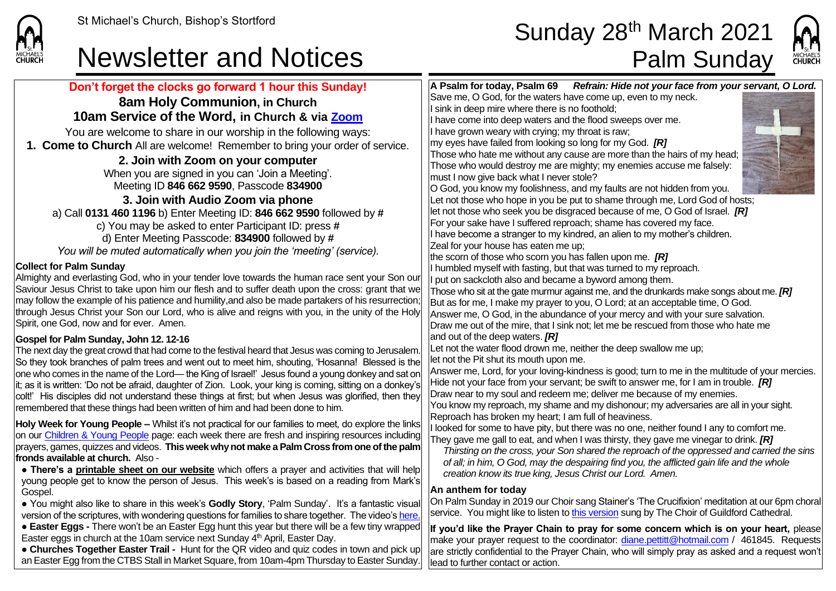## Newsletter and Notices **Palm Sunday**

## St Michael's Church, Bishop's Stortford  $\textsf{Sunday 28}^{\textsf{th}}$  March 2021



| Don't forget the clocks go forward 1 hour this Sunday!<br>8am Holy Communion, in Church<br>10am Service of the Word, in Church & via Zoom<br>You are welcome to share in our worship in the following ways:                                                                                                                                                                                                                                                                                                                                                                                                                                                        | A Psalm for today, Psalm 69 Refrain: Hide not your face from your servant, O Lord.<br>Save me, O God, for the waters have come up, even to my neck.<br>I sink in deep mire where there is no foothold;<br>I have come into deep waters and the flood sweeps over me.<br>I have grown weary with crying; my throat is raw;                                                                                                                                                                                                                                                                                                                                                                   |
|--------------------------------------------------------------------------------------------------------------------------------------------------------------------------------------------------------------------------------------------------------------------------------------------------------------------------------------------------------------------------------------------------------------------------------------------------------------------------------------------------------------------------------------------------------------------------------------------------------------------------------------------------------------------|---------------------------------------------------------------------------------------------------------------------------------------------------------------------------------------------------------------------------------------------------------------------------------------------------------------------------------------------------------------------------------------------------------------------------------------------------------------------------------------------------------------------------------------------------------------------------------------------------------------------------------------------------------------------------------------------|
| 1. Come to Church All are welcome! Remember to bring your order of service.<br>2. Join with Zoom on your computer<br>When you are signed in you can 'Join a Meeting'.<br>Meeting ID 846 662 9590, Passcode 834900<br>3. Join with Audio Zoom via phone<br>a) Call 0131 460 1196 b) Enter Meeting ID: 846 662 9590 followed by #<br>c) You may be asked to enter Participant ID: press #<br>d) Enter Meeting Passcode: 834900 followed by #<br>You will be muted automatically when you join the 'meeting' (service).                                                                                                                                               | my eyes have failed from looking so long for my God. [R]<br>Those who hate me without any cause are more than the hairs of my head;<br>Those who would destroy me are mighty; my enemies accuse me falsely:<br>must I now give back what I never stole?<br>O God, you know my foolishness, and my faults are not hidden from you.<br>Let not those who hope in you be put to shame through me, Lord God of hosts;<br>let not those who seek you be disgraced because of me, O God of Israel. [R]<br>For your sake have I suffered reproach; shame has covered my face.<br>I have become a stranger to my kindred, an alien to my mother's children.<br>Zeal for your house has eaten me up; |
| <b>Collect for Palm Sunday</b><br>Almighty and everlasting God, who in your tender love towards the human race sent your Son our<br>Saviour Jesus Christ to take upon him our flesh and to suffer death upon the cross: grant that we<br>may follow the example of his patience and humility, and also be made partakers of his resurrection;<br>through Jesus Christ your Son our Lord, who is alive and reigns with you, in the unity of the Holy<br>Spirit, one God, now and for ever. Amen.                                                                                                                                                                    | the scorn of those who scorn you has fallen upon me. $[R]$<br>I humbled myself with fasting, but that was turned to my reproach.<br>I put on sackcloth also and became a byword among them.<br>Those who sit at the gate murmur against me, and the drunkards make songs about me. [R]<br>But as for me, I make my prayer to you, O Lord; at an acceptable time, O God.<br>Answer me, O God, in the abundance of your mercy and with your sure salvation.<br>Draw me out of the mire, that I sink not; let me be rescued from those who hate me                                                                                                                                             |
| Gospel for Palm Sunday, John 12. 12-16<br>The next day the great crowd that had come to the festival heard that Jesus was coming to Jerusalem.<br>So they took branches of palm trees and went out to meet him, shouting, 'Hosanna! Blessed is the<br>one who comes in the name of the Lord— the King of Israel!' Jesus found a young donkey and sat on<br>it; as it is written: 'Do not be afraid, daughter of Zion. Look, your king is coming, sitting on a donkey's<br>colt!' His disciples did not understand these things at first; but when Jesus was glorified, then they<br>remembered that these things had been written of him and had been done to him. | and out of the deep waters. [R]<br>Let not the water flood drown me, neither the deep swallow me up;<br>let not the Pit shut its mouth upon me.<br>Answer me, Lord, for your loving-kindness is good; turn to me in the multitude of your mercies.<br>Hide not your face from your servant; be swift to answer me, for I am in trouble. $[RI]$<br>Draw near to my soul and redeem me; deliver me because of my enemies.<br>You know my reproach, my shame and my dishonour; my adversaries are all in your sight.                                                                                                                                                                           |
| Holy Week for Young People - Whilst it's not practical for our families to meet, do explore the links<br>on our Children & Young People page: each week there are fresh and inspiring resources including<br>prayers, games, quizzes and videos. This week why not make a Palm Cross from one of the palm<br>fronds available at church. Also -<br>. There's a printable sheet on our website which offers a prayer and activities that will help<br>young people get to know the person of Jesus. This week's is based on a reading from Mark's<br>Gospel.                                                                                                        | Reproach has broken my heart; I am full of heaviness.<br>I looked for some to have pity, but there was no one, neither found I any to comfort me.<br>They gave me gall to eat, and when I was thirsty, they gave me vinegar to drink. [R]<br>Thirsting on the cross, your Son shared the reproach of the oppressed and carried the sins<br>of all; in him, O God, may the despairing find you, the afflicted gain life and the whole<br>creation know its true king, Jesus Christ our Lord. Amen.<br>An anthem for today<br>On Palm Sunday in 2019 our Choir sang Stainer's 'The Crucifixion' meditation at our 6pm choral                                                                  |
| . You might also like to share in this week's Godly Story, 'Palm Sunday'. It's a fantastic visual<br>version of the scriptures, with wondering questions for families to share together. The video's here.<br>• Easter Eggs - There won't be an Easter Egg hunt this year but there will be a few tiny wrapped<br>Easter eggs in church at the 10am service next Sunday 4 <sup>th</sup> April, Easter Day.<br>• Churches Together Easter Trail - Hunt for the QR video and quiz codes in town and pick up<br>an Easter Egg from the CTBS Stall in Market Square, from 10am-4pm Thursday to Easter Sunday.                                                          | service. You might like to listen to this version sung by The Choir of Guildford Cathedral.<br>If you'd like the Prayer Chain to pray for some concern which is on your heart, please<br>make your prayer request to the coordinator: diane.pettitt@hotmail.com / 461845. Requests<br>are strictly confidential to the Prayer Chain, who will simply pray as asked and a request won't<br>lead to further contact or action.                                                                                                                                                                                                                                                                |